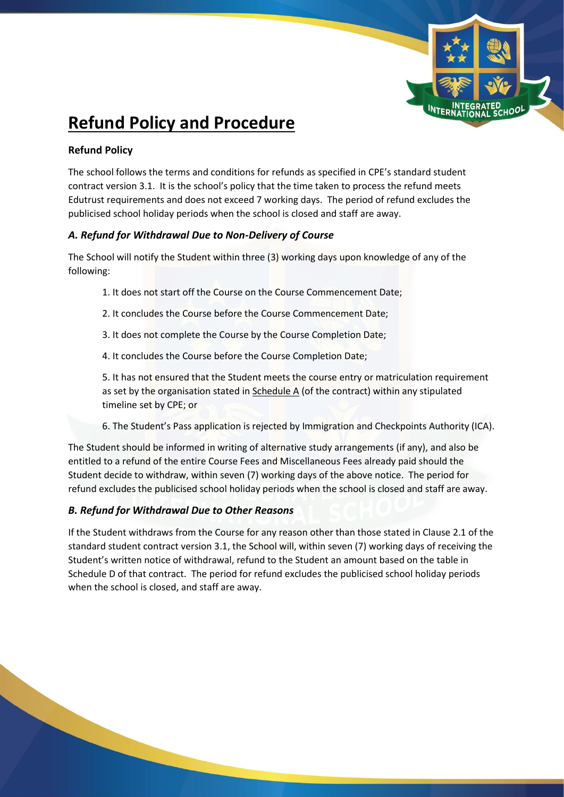

# **Refund Policy and Procedure**

# **Refund Policy**

The school follows the terms and conditions for refunds as specified in CPE's standard student contract version 3.1. It is the school's policy that the time taken to process the refund meets Edutrust requirements and does not exceed 7 working days. The period of refund excludes the publicised school holiday periods when the school is closed and staff are away.

## *A. Refund for Withdrawal Due to Non-Delivery of Course*

The School will notify the Student within three (3) working days upon knowledge of any of the following:

- 1. It does not start off the Course on the Course Commencement Date;
- 2. It concludes the Course before the Course Commencement Date;
- 3. It does not complete the Course by the Course Completion Date;
- 4. It concludes the Course before the Course Completion Date;

5. It has not ensured that the Student meets the course entry or matriculation requirement as set by the organisation stated in Schedule A (of the contract) within any stipulated timeline set by CPE; or

6. The Student's Pass application is rejected by Immigration and Checkpoints Authority (ICA).

The Student should be informed in writing of alternative study arrangements (if any), and also be entitled to a refund of the entire Course Fees and Miscellaneous Fees already paid should the Student decide to withdraw, within seven (7) working days of the above notice. The period for refund excludes the publicised school holiday periods when the school is closed and staff are away.

# *B. Refund for Withdrawal Due to Other Reasons*

If the Student withdraws from the Course for any reason other than those stated in Clause 2.1 of the standard student contract version 3.1, the School will, within seven (7) working days of receiving the Student's written notice of withdrawal, refund to the Student an amount based on the table in Schedule D of that contract. The period for refund excludes the publicised school holiday periods when the school is closed, and staff are away.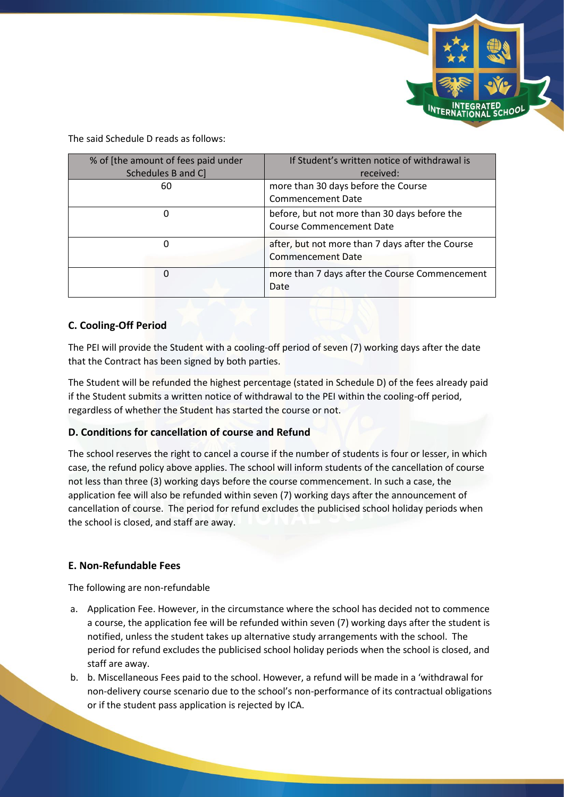

The said Schedule D reads as follows:

| % of [the amount of fees paid under | If Student's written notice of withdrawal is                                    |
|-------------------------------------|---------------------------------------------------------------------------------|
| Schedules B and C]                  | received:                                                                       |
| 60                                  | more than 30 days before the Course                                             |
|                                     | <b>Commencement Date</b>                                                        |
| 0                                   | before, but not more than 30 days before the<br><b>Course Commencement Date</b> |
| 0                                   | after, but not more than 7 days after the Course<br><b>Commencement Date</b>    |
| 0                                   | more than 7 days after the Course Commencement<br>Date                          |

## **C. Cooling-Off Period**

The PEI will provide the Student with a cooling-off period of seven (7) working days after the date that the Contract has been signed by both parties.

The Student will be refunded the highest percentage (stated in Schedule D) of the fees already paid if the Student submits a written notice of withdrawal to the PEI within the cooling-off period, regardless of whether the Student has started the course or not.

### **D. Conditions for cancellation of course and Refund**

The school reserves the right to cancel a course if the number of students is four or lesser, in which case, the refund policy above applies. The school will inform students of the cancellation of course not less than three (3) working days before the course commencement. In such a case, the application fee will also be refunded within seven (7) working days after the announcement of cancellation of course. The period for refund excludes the publicised school holiday periods when the school is closed, and staff are away.

### **E. Non-Refundable Fees**

The following are non-refundable

- a. Application Fee. However, in the circumstance where the school has decided not to commence a course, the application fee will be refunded within seven (7) working days after the student is notified, unless the student takes up alternative study arrangements with the school. The period for refund excludes the publicised school holiday periods when the school is closed, and staff are away.
- b. b. Miscellaneous Fees paid to the school. However, a refund will be made in a 'withdrawal for non-delivery course scenario due to the school's non-performance of its contractual obligations or if the student pass application is rejected by ICA.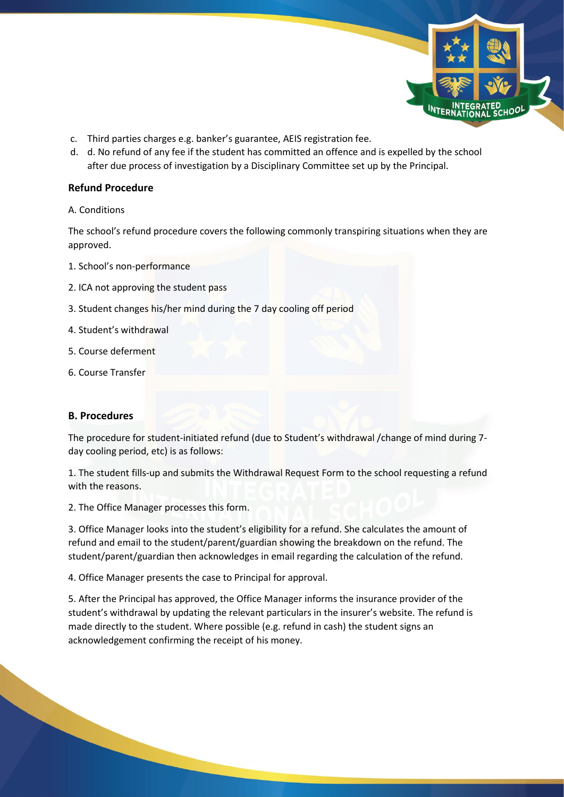

- c. Third parties charges e.g. banker's guarantee, AEIS registration fee.
- d. d. No refund of any fee if the student has committed an offence and is expelled by the school after due process of investigation by a Disciplinary Committee set up by the Principal.

#### **Refund Procedure**

#### A. Conditions

The school's refund procedure covers the following commonly transpiring situations when they are approved.

- 1. School's non-performance
- 2. ICA not approving the student pass
- 3. Student changes his/her mind during the 7 day cooling off period
- 4. Student's withdrawal
- 5. Course deferment
- 6. Course Transfer

#### **B. Procedures**

The procedure for student-initiated refund (due to Student's withdrawal /change of mind during 7 day cooling period, etc) is as follows:

1. The student fills-up and submits the Withdrawal Request Form to the school requesting a refund with the reasons.

2. The Office Manager processes this form.

3. Office Manager looks into the student's eligibility for a refund. She calculates the amount of refund and email to the student/parent/guardian showing the breakdown on the refund. The student/parent/guardian then acknowledges in email regarding the calculation of the refund.

4. Office Manager presents the case to Principal for approval.

5. After the Principal has approved, the Office Manager informs the insurance provider of the student's withdrawal by updating the relevant particulars in the insurer's website. The refund is made directly to the student. Where possible (e.g. refund in cash) the student signs an acknowledgement confirming the receipt of his money.